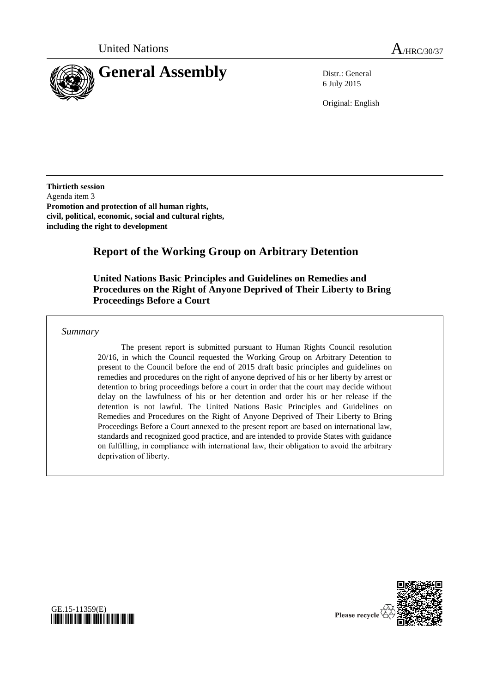

6 July 2015

Original: English

**Thirtieth session** Agenda item 3 **Promotion and protection of all human rights, civil, political, economic, social and cultural rights, including the right to development**

# **Report of the Working Group on Arbitrary Detention**

# **United Nations Basic Principles and Guidelines on Remedies and Procedures on the Right of Anyone Deprived of Their Liberty to Bring Proceedings Before a Court**

*Summary*

The present report is submitted pursuant to Human Rights Council resolution 20/16, in which the Council requested the Working Group on Arbitrary Detention to present to the Council before the end of 2015 draft basic principles and guidelines on remedies and procedures on the right of anyone deprived of his or her liberty by arrest or detention to bring proceedings before a court in order that the court may decide without delay on the lawfulness of his or her detention and order his or her release if the detention is not lawful. The United Nations Basic Principles and Guidelines on Remedies and Procedures on the Right of Anyone Deprived of Their Liberty to Bring Proceedings Before a Court annexed to the present report are based on international law, standards and recognized good practice, and are intended to provide States with guidance on fulfilling, in compliance with international law, their obligation to avoid the arbitrary deprivation of liberty.



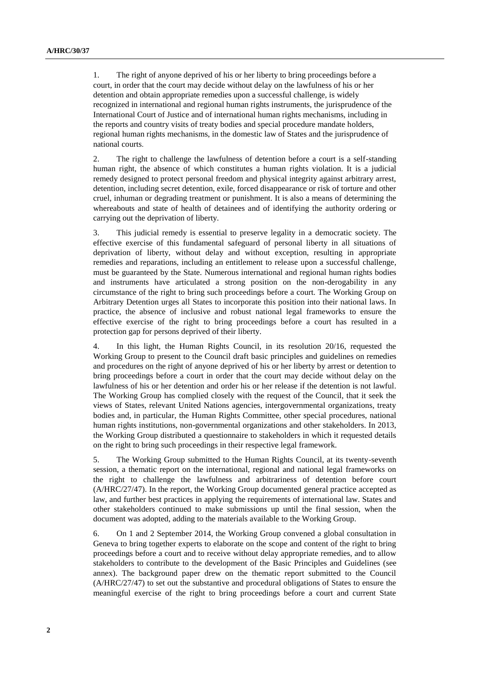1. The right of anyone deprived of his or her liberty to bring proceedings before a court, in order that the court may decide without delay on the lawfulness of his or her detention and obtain appropriate remedies upon a successful challenge, is widely recognized in international and regional human rights instruments, the jurisprudence of the International Court of Justice and of international human rights mechanisms, including in the reports and country visits of treaty bodies and special procedure mandate holders, regional human rights mechanisms, in the domestic law of States and the jurisprudence of national courts.

2. The right to challenge the lawfulness of detention before a court is a self-standing human right, the absence of which constitutes a human rights violation. It is a judicial remedy designed to protect personal freedom and physical integrity against arbitrary arrest, detention, including secret detention, exile, forced disappearance or risk of torture and other cruel, inhuman or degrading treatment or punishment. It is also a means of determining the whereabouts and state of health of detainees and of identifying the authority ordering or carrying out the deprivation of liberty.

3. This judicial remedy is essential to preserve legality in a democratic society. The effective exercise of this fundamental safeguard of personal liberty in all situations of deprivation of liberty, without delay and without exception, resulting in appropriate remedies and reparations, including an entitlement to release upon a successful challenge, must be guaranteed by the State. Numerous international and regional human rights bodies and instruments have articulated a strong position on the non-derogability in any circumstance of the right to bring such proceedings before a court. The Working Group on Arbitrary Detention urges all States to incorporate this position into their national laws. In practice, the absence of inclusive and robust national legal frameworks to ensure the effective exercise of the right to bring proceedings before a court has resulted in a protection gap for persons deprived of their liberty.

4. In this light, the Human Rights Council, in its resolution 20/16, requested the Working Group to present to the Council draft basic principles and guidelines on remedies and procedures on the right of anyone deprived of his or her liberty by arrest or detention to bring proceedings before a court in order that the court may decide without delay on the lawfulness of his or her detention and order his or her release if the detention is not lawful. The Working Group has complied closely with the request of the Council, that it seek the views of States, relevant United Nations agencies, intergovernmental organizations, treaty bodies and, in particular, the Human Rights Committee, other special procedures, national human rights institutions, non-governmental organizations and other stakeholders. In 2013, the Working Group distributed a questionnaire to stakeholders in which it requested details on the right to bring such proceedings in their respective legal framework.

5. The Working Group submitted to the Human Rights Council, at its twenty-seventh session, a thematic report on the international, regional and national legal frameworks on the right to challenge the lawfulness and arbitrariness of detention before court (A/HRC/27/47). In the report, the Working Group documented general practice accepted as law, and further best practices in applying the requirements of international law. States and other stakeholders continued to make submissions up until the final session, when the document was adopted, adding to the materials available to the Working Group.

6. On 1 and 2 September 2014, the Working Group convened a global consultation in Geneva to bring together experts to elaborate on the scope and content of the right to bring proceedings before a court and to receive without delay appropriate remedies, and to allow stakeholders to contribute to the development of the Basic Principles and Guidelines (see annex). The background paper drew on the thematic report submitted to the Council (A/HRC/27/47) to set out the substantive and procedural obligations of States to ensure the meaningful exercise of the right to bring proceedings before a court and current State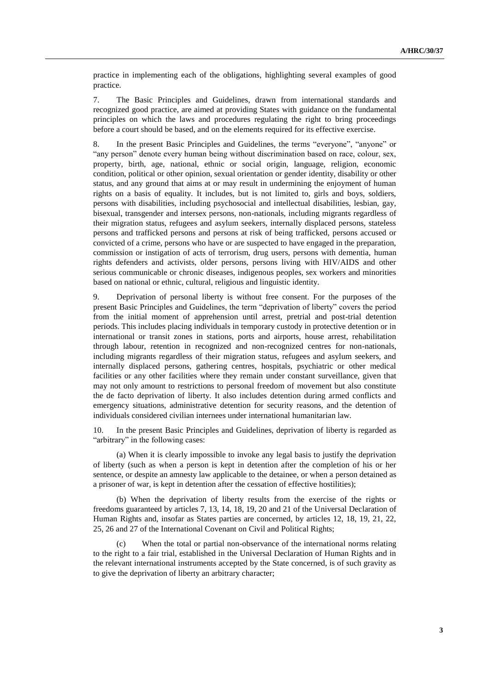practice in implementing each of the obligations, highlighting several examples of good practice.

7. The Basic Principles and Guidelines, drawn from international standards and recognized good practice, are aimed at providing States with guidance on the fundamental principles on which the laws and procedures regulating the right to bring proceedings before a court should be based, and on the elements required for its effective exercise.

8. In the present Basic Principles and Guidelines, the terms "everyone", "anyone" or "any person" denote every human being without discrimination based on race, colour, sex, property, birth, age, national, ethnic or social origin, language, religion, economic condition, political or other opinion, sexual orientation or gender identity, disability or other status, and any ground that aims at or may result in undermining the enjoyment of human rights on a basis of equality. It includes, but is not limited to, girls and boys, soldiers, persons with disabilities, including psychosocial and intellectual disabilities, lesbian, gay, bisexual, transgender and intersex persons, non-nationals, including migrants regardless of their migration status, refugees and asylum seekers, internally displaced persons, stateless persons and trafficked persons and persons at risk of being trafficked, persons accused or convicted of a crime, persons who have or are suspected to have engaged in the preparation, commission or instigation of acts of terrorism, drug users, persons with dementia, human rights defenders and activists, older persons, persons living with HIV/AIDS and other serious communicable or chronic diseases, indigenous peoples, sex workers and minorities based on national or ethnic, cultural, religious and linguistic identity.

9. Deprivation of personal liberty is without free consent. For the purposes of the present Basic Principles and Guidelines, the term "deprivation of liberty" covers the period from the initial moment of apprehension until arrest, pretrial and post-trial detention periods. This includes placing individuals in temporary custody in protective detention or in international or transit zones in stations, ports and airports, house arrest, rehabilitation through labour, retention in recognized and non-recognized centres for non-nationals, including migrants regardless of their migration status, refugees and asylum seekers, and internally displaced persons, gathering centres, hospitals, psychiatric or other medical facilities or any other facilities where they remain under constant surveillance, given that may not only amount to restrictions to personal freedom of movement but also constitute the de facto deprivation of liberty. It also includes detention during armed conflicts and emergency situations, administrative detention for security reasons, and the detention of individuals considered civilian internees under international humanitarian law.

10. In the present Basic Principles and Guidelines, deprivation of liberty is regarded as "arbitrary" in the following cases:

(a) When it is clearly impossible to invoke any legal basis to justify the deprivation of liberty (such as when a person is kept in detention after the completion of his or her sentence, or despite an amnesty law applicable to the detainee, or when a person detained as a prisoner of war, is kept in detention after the cessation of effective hostilities);

(b) When the deprivation of liberty results from the exercise of the rights or freedoms guaranteed by articles 7, 13, 14, 18, 19, 20 and 21 of the Universal Declaration of Human Rights and, insofar as States parties are concerned, by articles 12, 18, 19, 21, 22, 25, 26 and 27 of the International Covenant on Civil and Political Rights;

(c) When the total or partial non-observance of the international norms relating to the right to a fair trial, established in the Universal Declaration of Human Rights and in the relevant international instruments accepted by the State concerned, is of such gravity as to give the deprivation of liberty an arbitrary character;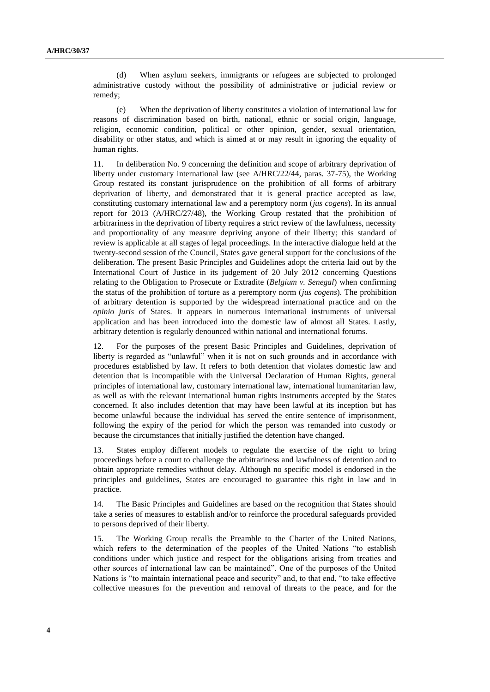(d) When asylum seekers, immigrants or refugees are subjected to prolonged administrative custody without the possibility of administrative or judicial review or remedy;

(e) When the deprivation of liberty constitutes a violation of international law for reasons of discrimination based on birth, national, ethnic or social origin, language, religion, economic condition, political or other opinion, gender, sexual orientation, disability or other status, and which is aimed at or may result in ignoring the equality of human rights.

11. In deliberation No. 9 concerning the definition and scope of arbitrary deprivation of liberty under customary international law (see A/HRC/22/44, paras. 37-75), the Working Group restated its constant jurisprudence on the prohibition of all forms of arbitrary deprivation of liberty, and demonstrated that it is general practice accepted as law, constituting customary international law and a peremptory norm (*jus cogens*). In its annual report for 2013 (A/HRC/27/48), the Working Group restated that the prohibition of arbitrariness in the deprivation of liberty requires a strict review of the lawfulness, necessity and proportionality of any measure depriving anyone of their liberty; this standard of review is applicable at all stages of legal proceedings. In the interactive dialogue held at the twenty-second session of the Council, States gave general support for the conclusions of the deliberation. The present Basic Principles and Guidelines adopt the criteria laid out by the International Court of Justice in its judgement of 20 July 2012 concerning Questions relating to the Obligation to Prosecute or Extradite (*Belgium v. Senegal*) when confirming the status of the prohibition of torture as a peremptory norm (*jus cogens*). The prohibition of arbitrary detention is supported by the widespread international practice and on the *opinio juris* of States. It appears in numerous international instruments of universal application and has been introduced into the domestic law of almost all States. Lastly, arbitrary detention is regularly denounced within national and international forums.

12. For the purposes of the present Basic Principles and Guidelines, deprivation of liberty is regarded as "unlawful" when it is not on such grounds and in accordance with procedures established by law. It refers to both detention that violates domestic law and detention that is incompatible with the Universal Declaration of Human Rights, general principles of international law, customary international law, international humanitarian law, as well as with the relevant international human rights instruments accepted by the States concerned. It also includes detention that may have been lawful at its inception but has become unlawful because the individual has served the entire sentence of imprisonment, following the expiry of the period for which the person was remanded into custody or because the circumstances that initially justified the detention have changed.

13. States employ different models to regulate the exercise of the right to bring proceedings before a court to challenge the arbitrariness and lawfulness of detention and to obtain appropriate remedies without delay. Although no specific model is endorsed in the principles and guidelines, States are encouraged to guarantee this right in law and in practice.

14. The Basic Principles and Guidelines are based on the recognition that States should take a series of measures to establish and/or to reinforce the procedural safeguards provided to persons deprived of their liberty.

15. The Working Group recalls the Preamble to the Charter of the United Nations, which refers to the determination of the peoples of the United Nations "to establish conditions under which justice and respect for the obligations arising from treaties and other sources of international law can be maintained". One of the purposes of the United Nations is "to maintain international peace and security" and, to that end, "to take effective collective measures for the prevention and removal of threats to the peace, and for the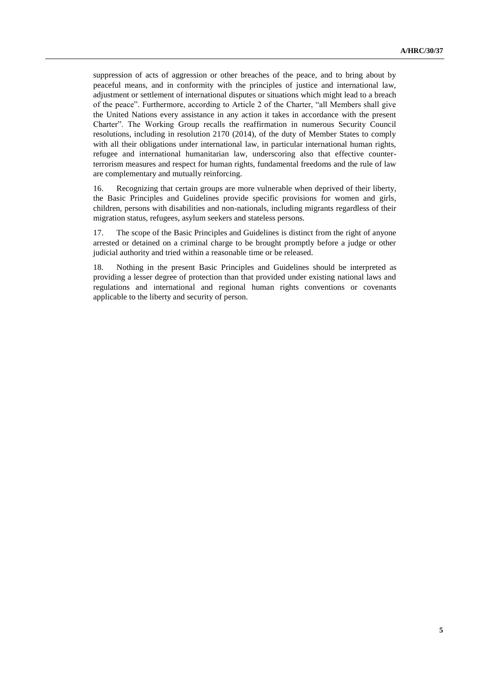suppression of acts of aggression or other breaches of the peace, and to bring about by peaceful means, and in conformity with the principles of justice and international law, adjustment or settlement of international disputes or situations which might lead to a breach of the peace". Furthermore, according to Article 2 of the Charter, "all Members shall give the United Nations every assistance in any action it takes in accordance with the present Charter". The Working Group recalls the reaffirmation in numerous Security Council resolutions, including in resolution 2170 (2014), of the duty of Member States to comply with all their obligations under international law, in particular international human rights, refugee and international humanitarian law, underscoring also that effective counterterrorism measures and respect for human rights, fundamental freedoms and the rule of law are complementary and mutually reinforcing.

16. Recognizing that certain groups are more vulnerable when deprived of their liberty, the Basic Principles and Guidelines provide specific provisions for women and girls, children, persons with disabilities and non-nationals, including migrants regardless of their migration status, refugees, asylum seekers and stateless persons.

17. The scope of the Basic Principles and Guidelines is distinct from the right of anyone arrested or detained on a criminal charge to be brought promptly before a judge or other judicial authority and tried within a reasonable time or be released.

18. Nothing in the present Basic Principles and Guidelines should be interpreted as providing a lesser degree of protection than that provided under existing national laws and regulations and international and regional human rights conventions or covenants applicable to the liberty and security of person.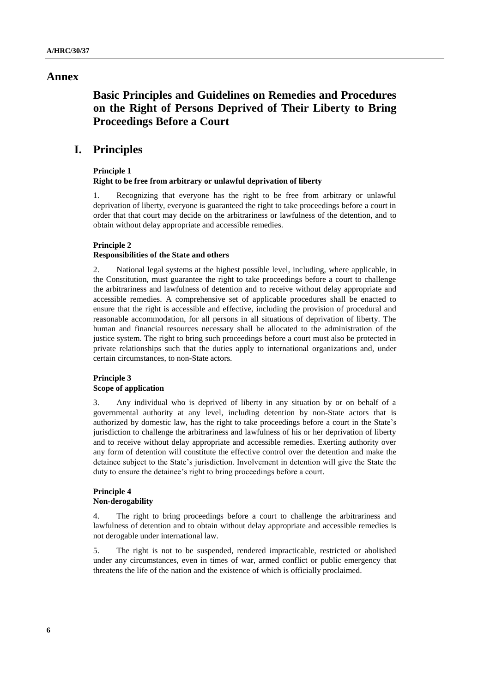# **Annex**

# **Basic Principles and Guidelines on Remedies and Procedures on the Right of Persons Deprived of Their Liberty to Bring Proceedings Before a Court**

# **I. Principles**

### **Principle 1**

#### **Right to be free from arbitrary or unlawful deprivation of liberty**

Recognizing that everyone has the right to be free from arbitrary or unlawful deprivation of liberty, everyone is guaranteed the right to take proceedings before a court in order that that court may decide on the arbitrariness or lawfulness of the detention, and to obtain without delay appropriate and accessible remedies.

#### **Principle 2**

#### **Responsibilities of the State and others**

2. National legal systems at the highest possible level, including, where applicable, in the Constitution, must guarantee the right to take proceedings before a court to challenge the arbitrariness and lawfulness of detention and to receive without delay appropriate and accessible remedies. A comprehensive set of applicable procedures shall be enacted to ensure that the right is accessible and effective, including the provision of procedural and reasonable accommodation, for all persons in all situations of deprivation of liberty. The human and financial resources necessary shall be allocated to the administration of the justice system. The right to bring such proceedings before a court must also be protected in private relationships such that the duties apply to international organizations and, under certain circumstances, to non-State actors.

### **Principle 3 Scope of application**

3. Any individual who is deprived of liberty in any situation by or on behalf of a governmental authority at any level, including detention by non-State actors that is authorized by domestic law, has the right to take proceedings before a court in the State's jurisdiction to challenge the arbitrariness and lawfulness of his or her deprivation of liberty and to receive without delay appropriate and accessible remedies. Exerting authority over any form of detention will constitute the effective control over the detention and make the detainee subject to the State's jurisdiction. Involvement in detention will give the State the duty to ensure the detainee's right to bring proceedings before a court.

### **Principle 4 Non-derogability**

4. The right to bring proceedings before a court to challenge the arbitrariness and lawfulness of detention and to obtain without delay appropriate and accessible remedies is not derogable under international law.

5. The right is not to be suspended, rendered impracticable, restricted or abolished under any circumstances, even in times of war, armed conflict or public emergency that threatens the life of the nation and the existence of which is officially proclaimed.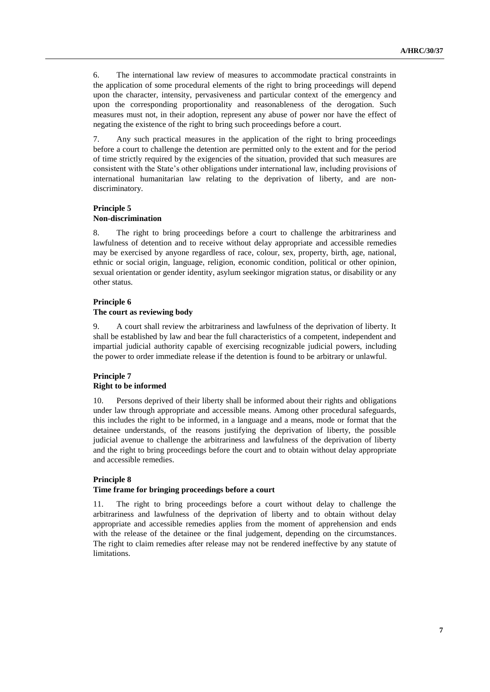6. The international law review of measures to accommodate practical constraints in the application of some procedural elements of the right to bring proceedings will depend upon the character, intensity, pervasiveness and particular context of the emergency and upon the corresponding proportionality and reasonableness of the derogation. Such measures must not, in their adoption, represent any abuse of power nor have the effect of negating the existence of the right to bring such proceedings before a court.

7. Any such practical measures in the application of the right to bring proceedings before a court to challenge the detention are permitted only to the extent and for the period of time strictly required by the exigencies of the situation, provided that such measures are consistent with the State's other obligations under international law, including provisions of international humanitarian law relating to the deprivation of liberty, and are nondiscriminatory.

### **Principle 5 Non-discrimination**

8. The right to bring proceedings before a court to challenge the arbitrariness and lawfulness of detention and to receive without delay appropriate and accessible remedies may be exercised by anyone regardless of race, colour, sex, property, birth, age, national, ethnic or social origin, language, religion, economic condition, political or other opinion, sexual orientation or gender identity, asylum seekingor migration status, or disability or any other status.

### **Principle 6**

#### **The court as reviewing body**

9. A court shall review the arbitrariness and lawfulness of the deprivation of liberty. It shall be established by law and bear the full characteristics of a competent, independent and impartial judicial authority capable of exercising recognizable judicial powers, including the power to order immediate release if the detention is found to be arbitrary or unlawful.

### **Principle 7 Right to be informed**

10. Persons deprived of their liberty shall be informed about their rights and obligations under law through appropriate and accessible means. Among other procedural safeguards, this includes the right to be informed, in a language and a means, mode or format that the detainee understands, of the reasons justifying the deprivation of liberty, the possible judicial avenue to challenge the arbitrariness and lawfulness of the deprivation of liberty and the right to bring proceedings before the court and to obtain without delay appropriate and accessible remedies.

# **Principle 8**

### **Time frame for bringing proceedings before a court**

11. The right to bring proceedings before a court without delay to challenge the arbitrariness and lawfulness of the deprivation of liberty and to obtain without delay appropriate and accessible remedies applies from the moment of apprehension and ends with the release of the detainee or the final judgement, depending on the circumstances. The right to claim remedies after release may not be rendered ineffective by any statute of limitations.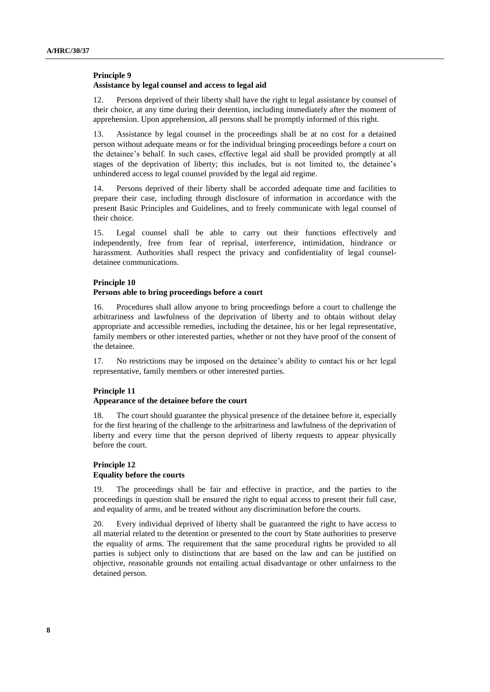#### **Principle 9**

### **Assistance by legal counsel and access to legal aid**

12. Persons deprived of their liberty shall have the right to legal assistance by counsel of their choice, at any time during their detention, including immediately after the moment of apprehension. Upon apprehension, all persons shall be promptly informed of this right.

13. Assistance by legal counsel in the proceedings shall be at no cost for a detained person without adequate means or for the individual bringing proceedings before a court on the detainee's behalf. In such cases, effective legal aid shall be provided promptly at all stages of the deprivation of liberty; this includes, but is not limited to, the detainee's unhindered access to legal counsel provided by the legal aid regime.

14. Persons deprived of their liberty shall be accorded adequate time and facilities to prepare their case, including through disclosure of information in accordance with the present Basic Principles and Guidelines, and to freely communicate with legal counsel of their choice.

15. Legal counsel shall be able to carry out their functions effectively and independently, free from fear of reprisal, interference, intimidation, hindrance or harassment. Authorities shall respect the privacy and confidentiality of legal counseldetainee communications.

#### **Principle 10**

#### **Persons able to bring proceedings before a court**

16. Procedures shall allow anyone to bring proceedings before a court to challenge the arbitrariness and lawfulness of the deprivation of liberty and to obtain without delay appropriate and accessible remedies, including the detainee, his or her legal representative, family members or other interested parties, whether or not they have proof of the consent of the detainee.

17. No restrictions may be imposed on the detainee's ability to contact his or her legal representative, family members or other interested parties.

#### **Principle 11**

### **Appearance of the detainee before the court**

18. The court should guarantee the physical presence of the detainee before it, especially for the first hearing of the challenge to the arbitrariness and lawfulness of the deprivation of liberty and every time that the person deprived of liberty requests to appear physically before the court.

#### **Principle 12 Equality before the courts**

19. The proceedings shall be fair and effective in practice, and the parties to the proceedings in question shall be ensured the right to equal access to present their full case, and equality of arms, and be treated without any discrimination before the courts.

20. Every individual deprived of liberty shall be guaranteed the right to have access to all material related to the detention or presented to the court by State authorities to preserve the equality of arms. The requirement that the same procedural rights be provided to all parties is subject only to distinctions that are based on the law and can be justified on objective, reasonable grounds not entailing actual disadvantage or other unfairness to the detained person.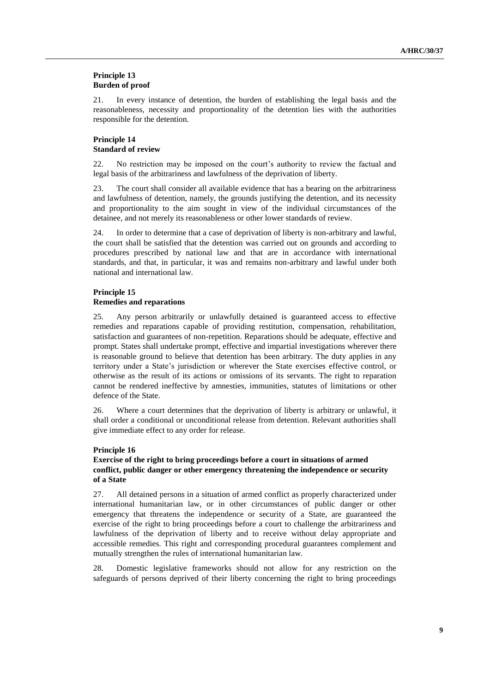### **Principle 13 Burden of proof**

21. In every instance of detention, the burden of establishing the legal basis and the reasonableness, necessity and proportionality of the detention lies with the authorities responsible for the detention.

## **Principle 14 Standard of review**

22. No restriction may be imposed on the court's authority to review the factual and legal basis of the arbitrariness and lawfulness of the deprivation of liberty.

23. The court shall consider all available evidence that has a bearing on the arbitrariness and lawfulness of detention, namely, the grounds justifying the detention, and its necessity and proportionality to the aim sought in view of the individual circumstances of the detainee, and not merely its reasonableness or other lower standards of review.

24. In order to determine that a case of deprivation of liberty is non-arbitrary and lawful, the court shall be satisfied that the detention was carried out on grounds and according to procedures prescribed by national law and that are in accordance with international standards, and that, in particular, it was and remains non-arbitrary and lawful under both national and international law.

# **Principle 15 Remedies and reparations**

25. Any person arbitrarily or unlawfully detained is guaranteed access to effective remedies and reparations capable of providing restitution, compensation, rehabilitation, satisfaction and guarantees of non-repetition. Reparations should be adequate, effective and prompt. States shall undertake prompt, effective and impartial investigations wherever there is reasonable ground to believe that detention has been arbitrary. The duty applies in any territory under a State's jurisdiction or wherever the State exercises effective control, or otherwise as the result of its actions or omissions of its servants. The right to reparation cannot be rendered ineffective by amnesties, immunities, statutes of limitations or other defence of the State.

26. Where a court determines that the deprivation of liberty is arbitrary or unlawful, it shall order a conditional or unconditional release from detention. Relevant authorities shall give immediate effect to any order for release.

### **Principle 16**

## **Exercise of the right to bring proceedings before a court in situations of armed conflict, public danger or other emergency threatening the independence or security of a State**

27. All detained persons in a situation of armed conflict as properly characterized under international humanitarian law, or in other circumstances of public danger or other emergency that threatens the independence or security of a State, are guaranteed the exercise of the right to bring proceedings before a court to challenge the arbitrariness and lawfulness of the deprivation of liberty and to receive without delay appropriate and accessible remedies. This right and corresponding procedural guarantees complement and mutually strengthen the rules of international humanitarian law.

28. Domestic legislative frameworks should not allow for any restriction on the safeguards of persons deprived of their liberty concerning the right to bring proceedings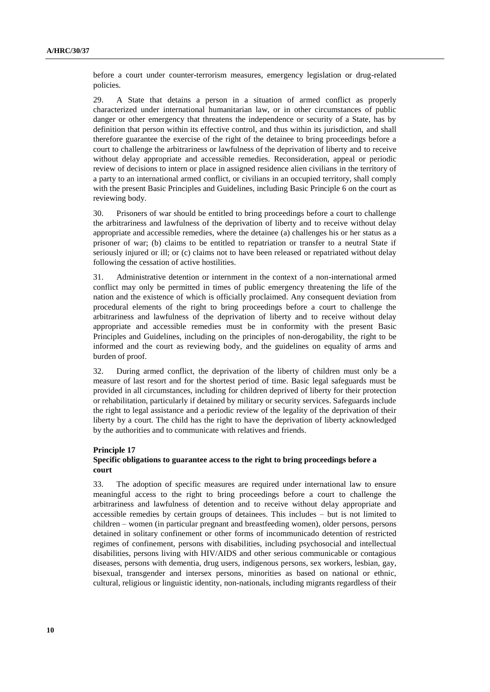before a court under counter-terrorism measures, emergency legislation or drug-related policies.

29. A State that detains a person in a situation of armed conflict as properly characterized under international humanitarian law, or in other circumstances of public danger or other emergency that threatens the independence or security of a State, has by definition that person within its effective control, and thus within its jurisdiction, and shall therefore guarantee the exercise of the right of the detainee to bring proceedings before a court to challenge the arbitrariness or lawfulness of the deprivation of liberty and to receive without delay appropriate and accessible remedies. Reconsideration, appeal or periodic review of decisions to intern or place in assigned residence alien civilians in the territory of a party to an international armed conflict, or civilians in an occupied territory, shall comply with the present Basic Principles and Guidelines, including Basic Principle 6 on the court as reviewing body.

30. Prisoners of war should be entitled to bring proceedings before a court to challenge the arbitrariness and lawfulness of the deprivation of liberty and to receive without delay appropriate and accessible remedies, where the detainee (a) challenges his or her status as a prisoner of war; (b) claims to be entitled to repatriation or transfer to a neutral State if seriously injured or ill; or (c) claims not to have been released or repatriated without delay following the cessation of active hostilities.

31. Administrative detention or internment in the context of a non-international armed conflict may only be permitted in times of public emergency threatening the life of the nation and the existence of which is officially proclaimed. Any consequent deviation from procedural elements of the right to bring proceedings before a court to challenge the arbitrariness and lawfulness of the deprivation of liberty and to receive without delay appropriate and accessible remedies must be in conformity with the present Basic Principles and Guidelines, including on the principles of non-derogability, the right to be informed and the court as reviewing body, and the guidelines on equality of arms and burden of proof.

32. During armed conflict, the deprivation of the liberty of children must only be a measure of last resort and for the shortest period of time. Basic legal safeguards must be provided in all circumstances, including for children deprived of liberty for their protection or rehabilitation, particularly if detained by military or security services. Safeguards include the right to legal assistance and a periodic review of the legality of the deprivation of their liberty by a court. The child has the right to have the deprivation of liberty acknowledged by the authorities and to communicate with relatives and friends.

#### **Principle 17**

### **Specific obligations to guarantee access to the right to bring proceedings before a court**

33. The adoption of specific measures are required under international law to ensure meaningful access to the right to bring proceedings before a court to challenge the arbitrariness and lawfulness of detention and to receive without delay appropriate and accessible remedies by certain groups of detainees. This includes – but is not limited to children – women (in particular pregnant and breastfeeding women), older persons, persons detained in solitary confinement or other forms of incommunicado detention of restricted regimes of confinement, persons with disabilities, including psychosocial and intellectual disabilities, persons living with HIV/AIDS and other serious communicable or contagious diseases, persons with dementia, drug users, indigenous persons, sex workers, lesbian, gay, bisexual, transgender and intersex persons, minorities as based on national or ethnic, cultural, religious or linguistic identity, non-nationals, including migrants regardless of their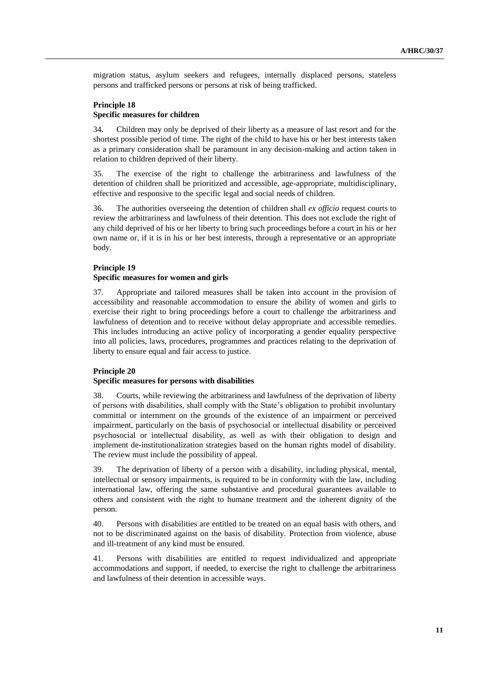migration status, asylum seekers and refugees, internally displaced persons, stateless persons and trafficked persons or persons at risk of being trafficked.

### **Principle 18 Specific measures for children**

34. Children may only be deprived of their liberty as a measure of last resort and for the shortest possible period of time. The right of the child to have his or her best interests taken as a primary consideration shall be paramount in any decision-making and action taken in relation to children deprived of their liberty.

35. The exercise of the right to challenge the arbitrariness and lawfulness of the detention of children shall be prioritized and accessible, age-appropriate, multidisciplinary, effective and responsive to the specific legal and social needs of children.

36. The authorities overseeing the detention of children shall *ex officio* request courts to review the arbitrariness and lawfulness of their detention. This does not exclude the right of any child deprived of his or her liberty to bring such proceedings before a court in his or her own name or, if it is in his or her best interests, through a representative or an appropriate body.

### **Principle 19**

#### **Specific measures for women and girls**

37. Appropriate and tailored measures shall be taken into account in the provision of accessibility and reasonable accommodation to ensure the ability of women and girls to exercise their right to bring proceedings before a court to challenge the arbitrariness and lawfulness of detention and to receive without delay appropriate and accessible remedies. This includes introducing an active policy of incorporating a gender equality perspective into all policies, laws, procedures, programmes and practices relating to the deprivation of liberty to ensure equal and fair access to justice.

### **Principle 20**

### **Specific measures for persons with disabilities**

38. Courts, while reviewing the arbitrariness and lawfulness of the deprivation of liberty of persons with disabilities, shall comply with the State's obligation to prohibit involuntary committal or internment on the grounds of the existence of an impairment or perceived impairment, particularly on the basis of psychosocial or intellectual disability or perceived psychosocial or intellectual disability, as well as with their obligation to design and implement de-institutionalization strategies based on the human rights model of disability. The review must include the possibility of appeal.

39. The deprivation of liberty of a person with a disability, including physical, mental, intellectual or sensory impairments, is required to be in conformity with the law, including international law, offering the same substantive and procedural guarantees available to others and consistent with the right to humane treatment and the inherent dignity of the person.

40. Persons with disabilities are entitled to be treated on an equal basis with others, and not to be discriminated against on the basis of disability. Protection from violence, abuse and ill-treatment of any kind must be ensured.

41. Persons with disabilities are entitled to request individualized and appropriate accommodations and support, if needed, to exercise the right to challenge the arbitrariness and lawfulness of their detention in accessible ways.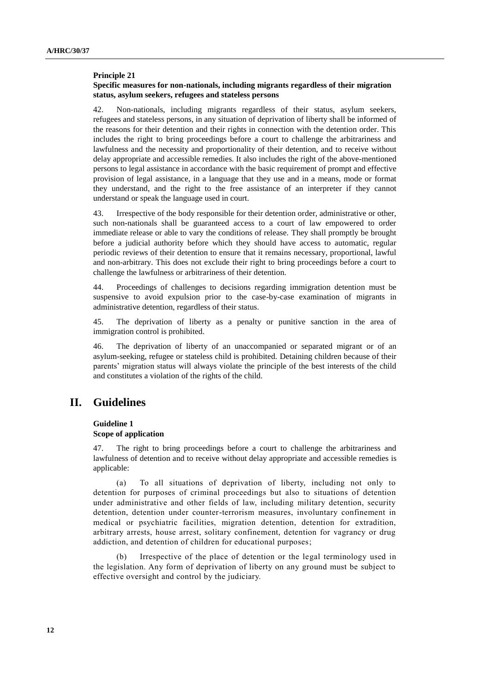#### **Principle 21**

### **Specific measures for non-nationals, including migrants regardless of their migration status, asylum seekers, refugees and stateless persons**

42. Non-nationals, including migrants regardless of their status, asylum seekers, refugees and stateless persons, in any situation of deprivation of liberty shall be informed of the reasons for their detention and their rights in connection with the detention order. This includes the right to bring proceedings before a court to challenge the arbitrariness and lawfulness and the necessity and proportionality of their detention, and to receive without delay appropriate and accessible remedies. It also includes the right of the above-mentioned persons to legal assistance in accordance with the basic requirement of prompt and effective provision of legal assistance, in a language that they use and in a means, mode or format they understand, and the right to the free assistance of an interpreter if they cannot understand or speak the language used in court.

43. Irrespective of the body responsible for their detention order, administrative or other, such non-nationals shall be guaranteed access to a court of law empowered to order immediate release or able to vary the conditions of release. They shall promptly be brought before a judicial authority before which they should have access to automatic, regular periodic reviews of their detention to ensure that it remains necessary, proportional, lawful and non-arbitrary. This does not exclude their right to bring proceedings before a court to challenge the lawfulness or arbitrariness of their detention.

44. Proceedings of challenges to decisions regarding immigration detention must be suspensive to avoid expulsion prior to the case-by-case examination of migrants in administrative detention, regardless of their status.

45. The deprivation of liberty as a penalty or punitive sanction in the area of immigration control is prohibited.

46. The deprivation of liberty of an unaccompanied or separated migrant or of an asylum-seeking, refugee or stateless child is prohibited. Detaining children because of their parents' migration status will always violate the principle of the best interests of the child and constitutes a violation of the rights of the child.

# **II. Guidelines**

#### **Guideline 1**

#### **Scope of application**

47. The right to bring proceedings before a court to challenge the arbitrariness and lawfulness of detention and to receive without delay appropriate and accessible remedies is applicable:

(a) To all situations of deprivation of liberty, including not only to detention for purposes of criminal proceedings but also to situations of detention under administrative and other fields of law, including military detention, security detention, detention under counter-terrorism measures, involuntary confinement in medical or psychiatric facilities, migration detention, detention for extradition, arbitrary arrests, house arrest, solitary confinement, detention for vagrancy or drug addiction, and detention of children for educational purposes;

(b) Irrespective of the place of detention or the legal terminology used in the legislation. Any form of deprivation of liberty on any ground must be subject to effective oversight and control by the judiciary.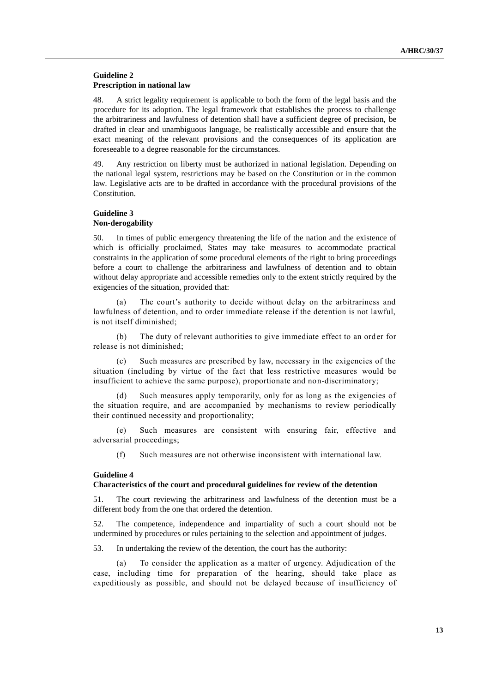### **Guideline 2 Prescription in national law**

48. A strict legality requirement is applicable to both the form of the legal basis and the procedure for its adoption. The legal framework that establishes the process to challenge the arbitrariness and lawfulness of detention shall have a sufficient degree of precision, be drafted in clear and unambiguous language, be realistically accessible and ensure that the exact meaning of the relevant provisions and the consequences of its application are foreseeable to a degree reasonable for the circumstances.

49. Any restriction on liberty must be authorized in national legislation. Depending on the national legal system, restrictions may be based on the Constitution or in the common law. Legislative acts are to be drafted in accordance with the procedural provisions of the Constitution.

#### **Guideline 3 Non-derogability**

50. In times of public emergency threatening the life of the nation and the existence of which is officially proclaimed, States may take measures to accommodate practical constraints in the application of some procedural elements of the right to bring proceedings before a court to challenge the arbitrariness and lawfulness of detention and to obtain without delay appropriate and accessible remedies only to the extent strictly required by the exigencies of the situation, provided that:

The court's authority to decide without delay on the arbitrariness and lawfulness of detention, and to order immediate release if the detention is not lawful, is not itself diminished;

(b) The duty of relevant authorities to give immediate effect to an order for release is not diminished;

(c) Such measures are prescribed by law, necessary in the exigencies of the situation (including by virtue of the fact that less restrictive measures would be insufficient to achieve the same purpose), proportionate and non-discriminatory;

(d) Such measures apply temporarily, only for as long as the exigencies of the situation require, and are accompanied by mechanisms to review periodically their continued necessity and proportionality;

(e) Such measures are consistent with ensuring fair, effective and adversarial proceedings;

(f) Such measures are not otherwise inconsistent with international law.

#### **Guideline 4**

#### **Characteristics of the court and procedural guidelines for review of the detention**

51. The court reviewing the arbitrariness and lawfulness of the detention must be a different body from the one that ordered the detention.

52. The competence, independence and impartiality of such a court should not be undermined by procedures or rules pertaining to the selection and appointment of judges.

53. In undertaking the review of the detention, the court has the authority:

(a) To consider the application as a matter of urgency. Adjudication of the case, including time for preparation of the hearing, should take place as expeditiously as possible, and should not be delayed because of insufficiency of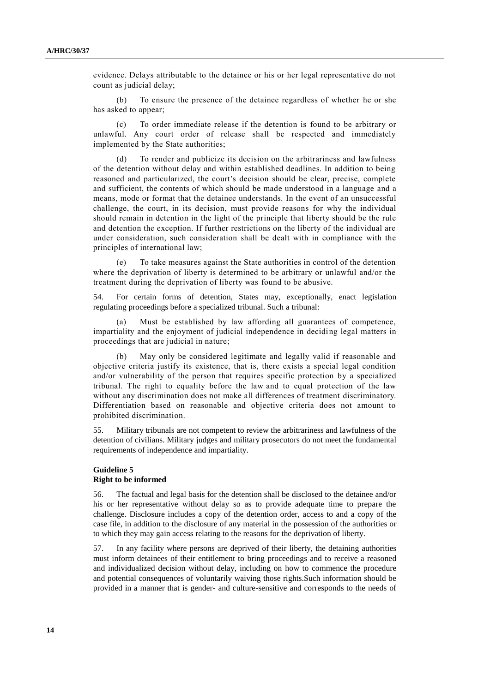evidence. Delays attributable to the detainee or his or her legal representative do not count as judicial delay;

(b) To ensure the presence of the detainee regardless of whether he or she has asked to appear;

(c) To order immediate release if the detention is found to be arbitrary or unlawful. Any court order of release shall be respected and immediately implemented by the State authorities;

(d) To render and publicize its decision on the arbitrariness and lawfulness of the detention without delay and within established deadlines. In addition to being reasoned and particularized, the court's decision should be clear, precise, complete and sufficient, the contents of which should be made understood in a language and a means, mode or format that the detainee understands. In the event of an unsuccessful challenge, the court, in its decision, must provide reasons for why the individual should remain in detention in the light of the principle that liberty should be the rule and detention the exception. If further restrictions on the liberty of the individual are under consideration, such consideration shall be dealt with in compliance with the principles of international law;

(e) To take measures against the State authorities in control of the detention where the deprivation of liberty is determined to be arbitrary or unlawful and/or the treatment during the deprivation of liberty was found to be abusive.

54. For certain forms of detention, States may, exceptionally, enact legislation regulating proceedings before a specialized tribunal. Such a tribunal:

(a) Must be established by law affording all guarantees of competence, impartiality and the enjoyment of judicial independence in deciding legal matters in proceedings that are judicial in nature;

(b) May only be considered legitimate and legally valid if reasonable and objective criteria justify its existence, that is, there exists a special legal condition and/or vulnerability of the person that requires specific protection by a specialized tribunal. The right to equality before the law and to equal protection of the law without any discrimination does not make all differences of treatment discriminatory. Differentiation based on reasonable and objective criteria does not amount to prohibited discrimination.

55. Military tribunals are not competent to review the arbitrariness and lawfulness of the detention of civilians. Military judges and military prosecutors do not meet the fundamental requirements of independence and impartiality.

### **Guideline 5 Right to be informed**

56. The factual and legal basis for the detention shall be disclosed to the detainee and/or his or her representative without delay so as to provide adequate time to prepare the challenge. Disclosure includes a copy of the detention order, access to and a copy of the case file, in addition to the disclosure of any material in the possession of the authorities or to which they may gain access relating to the reasons for the deprivation of liberty.

57. In any facility where persons are deprived of their liberty, the detaining authorities must inform detainees of their entitlement to bring proceedings and to receive a reasoned and individualized decision without delay, including on how to commence the procedure and potential consequences of voluntarily waiving those rights.Such information should be provided in a manner that is gender- and culture-sensitive and corresponds to the needs of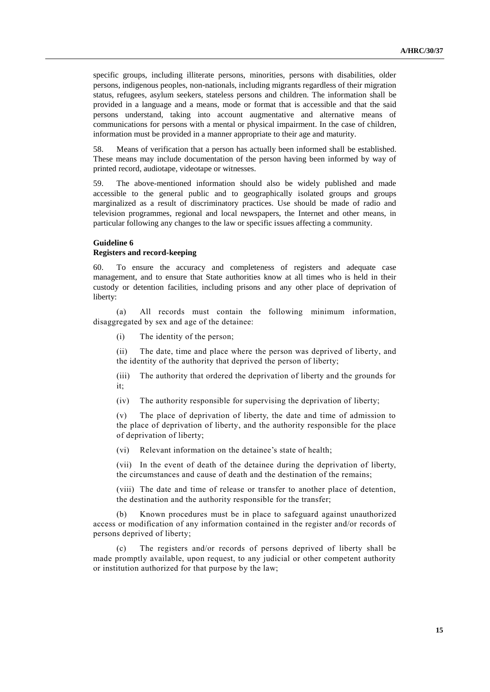specific groups, including illiterate persons, minorities, persons with disabilities, older persons, indigenous peoples, non-nationals, including migrants regardless of their migration status, refugees, asylum seekers, stateless persons and children. The information shall be provided in a language and a means, mode or format that is accessible and that the said persons understand, taking into account augmentative and alternative means of communications for persons with a mental or physical impairment. In the case of children, information must be provided in a manner appropriate to their age and maturity.

58. Means of verification that a person has actually been informed shall be established. These means may include documentation of the person having been informed by way of printed record, audiotape, videotape or witnesses.

59. The above-mentioned information should also be widely published and made accessible to the general public and to geographically isolated groups and groups marginalized as a result of discriminatory practices. Use should be made of radio and television programmes, regional and local newspapers, the Internet and other means, in particular following any changes to the law or specific issues affecting a community.

#### **Guideline 6**

### **Registers and record-keeping**

60. To ensure the accuracy and completeness of registers and adequate case management, and to ensure that State authorities know at all times who is held in their custody or detention facilities, including prisons and any other place of deprivation of liberty:

(a) All records must contain the following minimum information, disaggregated by sex and age of the detainee:

(i) The identity of the person;

(ii) The date, time and place where the person was deprived of liberty, and the identity of the authority that deprived the person of liberty;

(iii) The authority that ordered the deprivation of liberty and the grounds for it;

(iv) The authority responsible for supervising the deprivation of liberty;

(v) The place of deprivation of liberty, the date and time of admission to the place of deprivation of liberty, and the authority responsible for the place of deprivation of liberty;

(vi) Relevant information on the detainee's state of health;

(vii) In the event of death of the detainee during the deprivation of liberty, the circumstances and cause of death and the destination of the remains;

(viii) The date and time of release or transfer to another place of detention, the destination and the authority responsible for the transfer;

Known procedures must be in place to safeguard against unauthorized access or modification of any information contained in the register and/or records of persons deprived of liberty;

(c) The registers and/or records of persons deprived of liberty shall be made promptly available, upon request, to any judicial or other competent authority or institution authorized for that purpose by the law;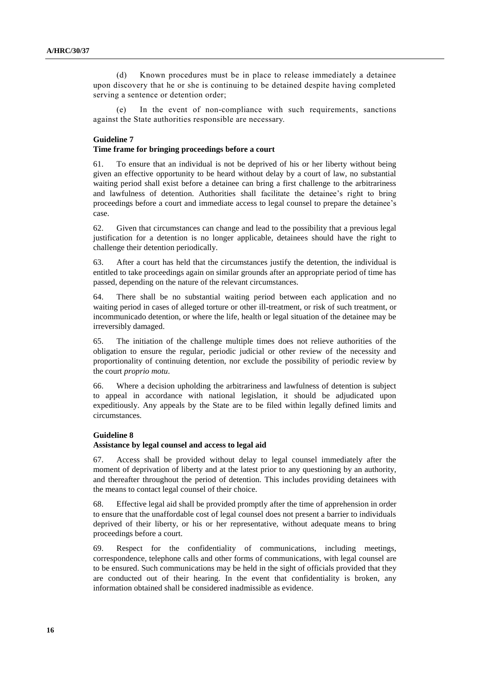(d) Known procedures must be in place to release immediately a detainee upon discovery that he or she is continuing to be detained despite having completed serving a sentence or detention order;

(e) In the event of non-compliance with such requirements, sanctions against the State authorities responsible are necessary.

### **Guideline 7**

#### **Time frame for bringing proceedings before a court**

61. To ensure that an individual is not be deprived of his or her liberty without being given an effective opportunity to be heard without delay by a court of law, no substantial waiting period shall exist before a detainee can bring a first challenge to the arbitrariness and lawfulness of detention. Authorities shall facilitate the detainee's right to bring proceedings before a court and immediate access to legal counsel to prepare the detainee's case.

62. Given that circumstances can change and lead to the possibility that a previous legal justification for a detention is no longer applicable, detainees should have the right to challenge their detention periodically.

63. After a court has held that the circumstances justify the detention, the individual is entitled to take proceedings again on similar grounds after an appropriate period of time has passed, depending on the nature of the relevant circumstances.

64. There shall be no substantial waiting period between each application and no waiting period in cases of alleged torture or other ill-treatment, or risk of such treatment, or incommunicado detention, or where the life, health or legal situation of the detainee may be irreversibly damaged.

65. The initiation of the challenge multiple times does not relieve authorities of the obligation to ensure the regular, periodic judicial or other review of the necessity and proportionality of continuing detention, nor exclude the possibility of periodic review by the court *proprio motu*.

66. Where a decision upholding the arbitrariness and lawfulness of detention is subject to appeal in accordance with national legislation, it should be adjudicated upon expeditiously. Any appeals by the State are to be filed within legally defined limits and circumstances.

### **Guideline 8**

#### **Assistance by legal counsel and access to legal aid**

67. Access shall be provided without delay to legal counsel immediately after the moment of deprivation of liberty and at the latest prior to any questioning by an authority, and thereafter throughout the period of detention. This includes providing detainees with the means to contact legal counsel of their choice.

68. Effective legal aid shall be provided promptly after the time of apprehension in order to ensure that the unaffordable cost of legal counsel does not present a barrier to individuals deprived of their liberty, or his or her representative, without adequate means to bring proceedings before a court.

69. Respect for the confidentiality of communications, including meetings, correspondence, telephone calls and other forms of communications, with legal counsel are to be ensured. Such communications may be held in the sight of officials provided that they are conducted out of their hearing. In the event that confidentiality is broken, any information obtained shall be considered inadmissible as evidence.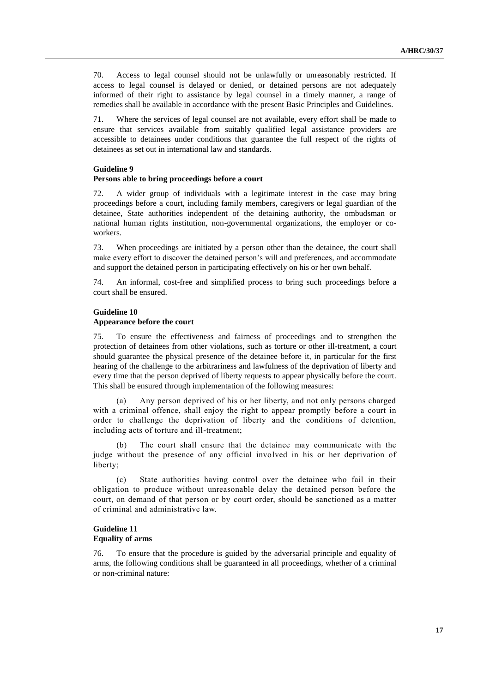70. Access to legal counsel should not be unlawfully or unreasonably restricted. If access to legal counsel is delayed or denied, or detained persons are not adequately informed of their right to assistance by legal counsel in a timely manner, a range of remedies shall be available in accordance with the present Basic Principles and Guidelines.

71. Where the services of legal counsel are not available, every effort shall be made to ensure that services available from suitably qualified legal assistance providers are accessible to detainees under conditions that guarantee the full respect of the rights of detainees as set out in international law and standards.

### **Guideline 9**

#### **Persons able to bring proceedings before a court**

72. A wider group of individuals with a legitimate interest in the case may bring proceedings before a court, including family members, caregivers or legal guardian of the detainee, State authorities independent of the detaining authority, the ombudsman or national human rights institution, non-governmental organizations, the employer or coworkers.

73. When proceedings are initiated by a person other than the detainee, the court shall make every effort to discover the detained person's will and preferences, and accommodate and support the detained person in participating effectively on his or her own behalf.

74. An informal, cost-free and simplified process to bring such proceedings before a court shall be ensured.

#### **Guideline 10**

#### **Appearance before the court**

75. To ensure the effectiveness and fairness of proceedings and to strengthen the protection of detainees from other violations, such as torture or other ill-treatment, a court should guarantee the physical presence of the detainee before it, in particular for the first hearing of the challenge to the arbitrariness and lawfulness of the deprivation of liberty and every time that the person deprived of liberty requests to appear physically before the court. This shall be ensured through implementation of the following measures:

(a) Any person deprived of his or her liberty, and not only persons charged with a criminal offence, shall enjoy the right to appear promptly before a court in order to challenge the deprivation of liberty and the conditions of detention, including acts of torture and ill-treatment;

The court shall ensure that the detainee may communicate with the judge without the presence of any official involved in his or her deprivation of liberty;

(c) State authorities having control over the detainee who fail in their obligation to produce without unreasonable delay the detained person before the court, on demand of that person or by court order, should be sanctioned as a matter of criminal and administrative law.

### **Guideline 11 Equality of arms**

76. To ensure that the procedure is guided by the adversarial principle and equality of arms, the following conditions shall be guaranteed in all proceedings, whether of a criminal or non-criminal nature: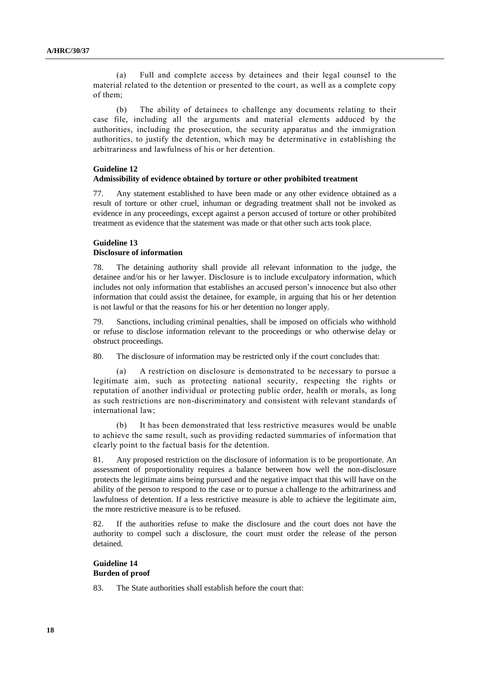(a) Full and complete access by detainees and their legal counsel to the material related to the detention or presented to the court, as well as a complete copy of them;

(b) The ability of detainees to challenge any documents relating to their case file, including all the arguments and material elements adduced by the authorities, including the prosecution, the security apparatus and the immigration authorities, to justify the detention, which may be determinative in establishing the arbitrariness and lawfulness of his or her detention.

### **Guideline 12**

### **Admissibility of evidence obtained by torture or other prohibited treatment**

77. Any statement established to have been made or any other evidence obtained as a result of torture or other cruel, inhuman or degrading treatment shall not be invoked as evidence in any proceedings, except against a person accused of torture or other prohibited treatment as evidence that the statement was made or that other such acts took place.

### **Guideline 13 Disclosure of information**

78. The detaining authority shall provide all relevant information to the judge, the detainee and/or his or her lawyer. Disclosure is to include exculpatory information, which includes not only information that establishes an accused person's innocence but also other information that could assist the detainee, for example, in arguing that his or her detention is not lawful or that the reasons for his or her detention no longer apply.

79. Sanctions, including criminal penalties, shall be imposed on officials who withhold or refuse to disclose information relevant to the proceedings or who otherwise delay or obstruct proceedings.

80. The disclosure of information may be restricted only if the court concludes that:

(a) A restriction on disclosure is demonstrated to be necessary to pursue a legitimate aim, such as protecting national security, respecting the rights or reputation of another individual or protecting public order, health or morals, as long as such restrictions are non-discriminatory and consistent with relevant standards of international law;

(b) It has been demonstrated that less restrictive measures would be unable to achieve the same result, such as providing redacted summaries of information that clearly point to the factual basis for the detention.

81. Any proposed restriction on the disclosure of information is to be proportionate. An assessment of proportionality requires a balance between how well the non-disclosure protects the legitimate aims being pursued and the negative impact that this will have on the ability of the person to respond to the case or to pursue a challenge to the arbitrariness and lawfulness of detention. If a less restrictive measure is able to achieve the legitimate aim, the more restrictive measure is to be refused.

82. If the authorities refuse to make the disclosure and the court does not have the authority to compel such a disclosure, the court must order the release of the person detained.

# **Guideline 14 Burden of proof**

83. The State authorities shall establish before the court that: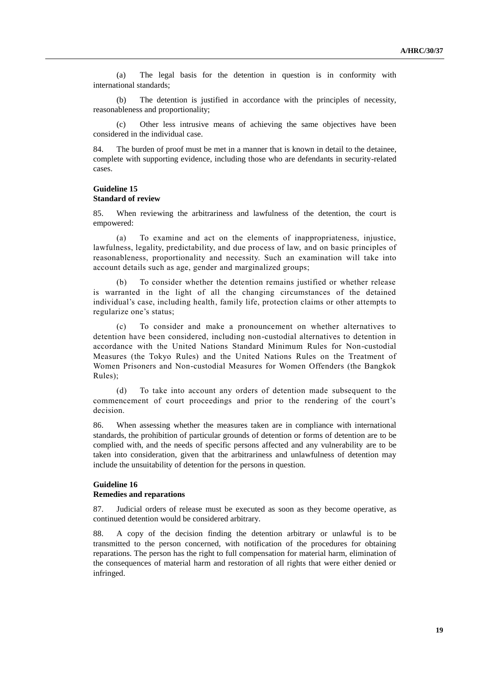(a) The legal basis for the detention in question is in conformity with international standards;

(b) The detention is justified in accordance with the principles of necessity, reasonableness and proportionality;

(c) Other less intrusive means of achieving the same objectives have been considered in the individual case.

84. The burden of proof must be met in a manner that is known in detail to the detainee, complete with supporting evidence, including those who are defendants in security-related cases.

### **Guideline 15 Standard of review**

85. When reviewing the arbitrariness and lawfulness of the detention, the court is empowered:

(a) To examine and act on the elements of inappropriateness, injustice, lawfulness, legality, predictability, and due process of law, and on basic principles of reasonableness, proportionality and necessity. Such an examination will take into account details such as age, gender and marginalized groups;

(b) To consider whether the detention remains justified or whether release is warranted in the light of all the changing circumstances of the detained individual's case, including health, family life, protection claims or other attempts to regularize one's status;

(c) To consider and make a pronouncement on whether alternatives to detention have been considered, including non-custodial alternatives to detention in accordance with the United Nations Standard Minimum Rules for Non-custodial Measures (the Tokyo Rules) and the United Nations Rules on the Treatment of Women Prisoners and Non-custodial Measures for Women Offenders (the Bangkok Rules);

(d) To take into account any orders of detention made subsequent to the commencement of court proceedings and prior to the rendering of the court's decision.

86. When assessing whether the measures taken are in compliance with international standards, the prohibition of particular grounds of detention or forms of detention are to be complied with, and the needs of specific persons affected and any vulnerability are to be taken into consideration, given that the arbitrariness and unlawfulness of detention may include the unsuitability of detention for the persons in question.

### **Guideline 16 Remedies and reparations**

87. Judicial orders of release must be executed as soon as they become operative, as continued detention would be considered arbitrary.

88. A copy of the decision finding the detention arbitrary or unlawful is to be transmitted to the person concerned, with notification of the procedures for obtaining reparations. The person has the right to full compensation for material harm, elimination of the consequences of material harm and restoration of all rights that were either denied or infringed.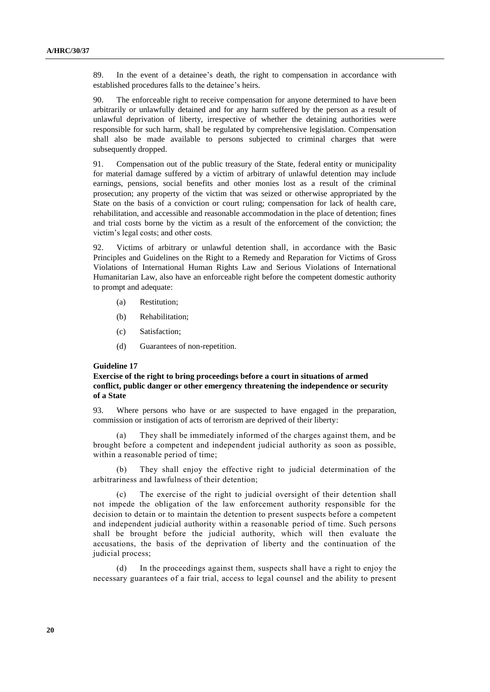89. In the event of a detainee's death, the right to compensation in accordance with established procedures falls to the detainee's heirs.

90. The enforceable right to receive compensation for anyone determined to have been arbitrarily or unlawfully detained and for any harm suffered by the person as a result of unlawful deprivation of liberty, irrespective of whether the detaining authorities were responsible for such harm, shall be regulated by comprehensive legislation. Compensation shall also be made available to persons subjected to criminal charges that were subsequently dropped.

91. Compensation out of the public treasury of the State, federal entity or municipality for material damage suffered by a victim of arbitrary of unlawful detention may include earnings, pensions, social benefits and other monies lost as a result of the criminal prosecution; any property of the victim that was seized or otherwise appropriated by the State on the basis of a conviction or court ruling; compensation for lack of health care, rehabilitation, and accessible and reasonable accommodation in the place of detention; fines and trial costs borne by the victim as a result of the enforcement of the conviction; the victim's legal costs; and other costs.

92. Victims of arbitrary or unlawful detention shall, in accordance with the Basic Principles and Guidelines on the Right to a Remedy and Reparation for Victims of Gross Violations of International Human Rights Law and Serious Violations of International Humanitarian Law, also have an enforceable right before the competent domestic authority to prompt and adequate:

- (a) Restitution;
- (b) Rehabilitation;
- (c) Satisfaction;
- (d) Guarantees of non-repetition.

#### **Guideline 17**

## **Exercise of the right to bring proceedings before a court in situations of armed conflict, public danger or other emergency threatening the independence or security of a State**

93. Where persons who have or are suspected to have engaged in the preparation, commission or instigation of acts of terrorism are deprived of their liberty:

They shall be immediately informed of the charges against them, and be brought before a competent and independent judicial authority as soon as possible, within a reasonable period of time;

(b) They shall enjoy the effective right to judicial determination of the arbitrariness and lawfulness of their detention;

(c) The exercise of the right to judicial oversight of their detention shall not impede the obligation of the law enforcement authority responsible for the decision to detain or to maintain the detention to present suspects before a competent and independent judicial authority within a reasonable period of time. Such persons shall be brought before the judicial authority, which will then evaluate the accusations, the basis of the deprivation of liberty and the continuation of the judicial process;

(d) In the proceedings against them, suspects shall have a right to enjoy the necessary guarantees of a fair trial, access to legal counsel and the ability to present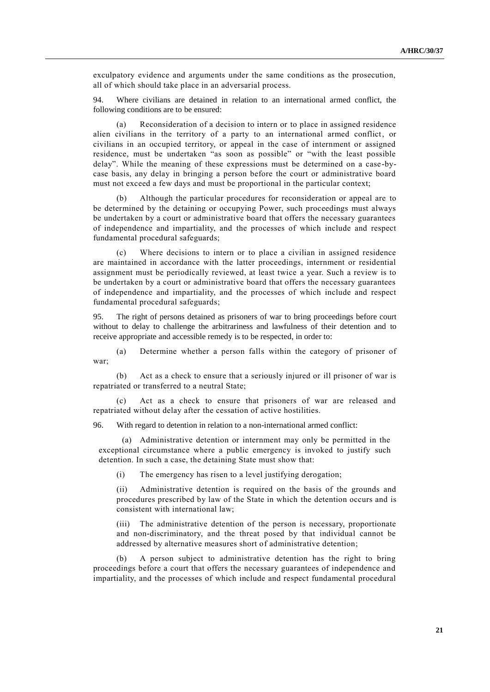exculpatory evidence and arguments under the same conditions as the prosecution, all of which should take place in an adversarial process.

94. Where civilians are detained in relation to an international armed conflict, the following conditions are to be ensured:

(a) Reconsideration of a decision to intern or to place in assigned residence alien civilians in the territory of a party to an international armed conflict, or civilians in an occupied territory, or appeal in the case of internment or assigned residence, must be undertaken "as soon as possible" or "with the least possible delay". While the meaning of these expressions must be determined on a case-bycase basis, any delay in bringing a person before the court or administrative board must not exceed a few days and must be proportional in the particular context;

(b) Although the particular procedures for reconsideration or appeal are to be determined by the detaining or occupying Power, such proceedings must always be undertaken by a court or administrative board that offers the necessary guarantees of independence and impartiality, and the processes of which include and respect fundamental procedural safeguards;

(c) Where decisions to intern or to place a civilian in assigned residence are maintained in accordance with the latter proceedings, internment or residential assignment must be periodically reviewed, at least twice a year. Such a review is to be undertaken by a court or administrative board that offers the necessary guarantees of independence and impartiality, and the processes of which include and respect fundamental procedural safeguards;

95. The right of persons detained as prisoners of war to bring proceedings before court without to delay to challenge the arbitrariness and lawfulness of their detention and to receive appropriate and accessible remedy is to be respected, in order to:

(a) Determine whether a person falls within the category of prisoner of war;

(b) Act as a check to ensure that a seriously injured or ill prisoner of war is repatriated or transferred to a neutral State;

Act as a check to ensure that prisoners of war are released and repatriated without delay after the cessation of active hostilities.

96. With regard to detention in relation to a non-international armed conflict:

(a) Administrative detention or internment may only be permitted in the exceptional circumstance where a public emergency is invoked to justify such detention. In such a case, the detaining State must show that:

(i) The emergency has risen to a level justifying derogation;

(ii) Administrative detention is required on the basis of the grounds and procedures prescribed by law of the State in which the detention occurs and is consistent with international law;

(iii) The administrative detention of the person is necessary, proportionate and non-discriminatory, and the threat posed by that individual cannot be addressed by alternative measures short of administrative detention;

(b) A person subject to administrative detention has the right to bring proceedings before a court that offers the necessary guarantees of independence and impartiality, and the processes of which include and respect fundamental procedural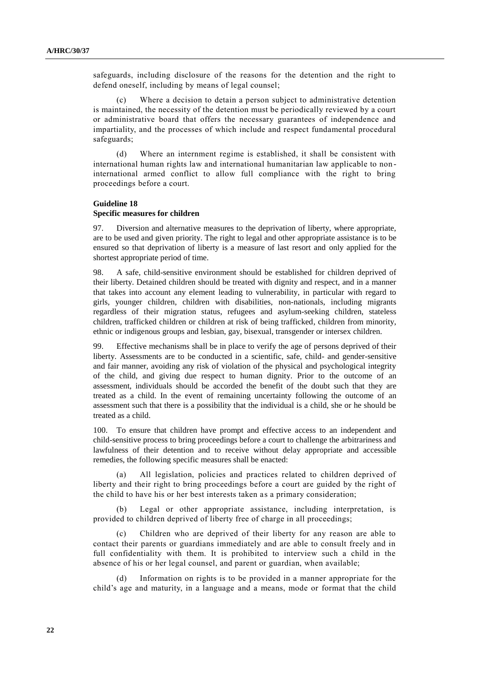safeguards, including disclosure of the reasons for the detention and the right to defend oneself, including by means of legal counsel;

(c) Where a decision to detain a person subject to administrative detention is maintained, the necessity of the detention must be periodically reviewed by a court or administrative board that offers the necessary guarantees of independence and impartiality, and the processes of which include and respect fundamental procedural safeguards;

(d) Where an internment regime is established, it shall be consistent with international human rights law and international humanitarian law applicable to non international armed conflict to allow full compliance with the right to bring proceedings before a court.

### **Guideline 18**

### **Specific measures for children**

97. Diversion and alternative measures to the deprivation of liberty, where appropriate, are to be used and given priority. The right to legal and other appropriate assistance is to be ensured so that deprivation of liberty is a measure of last resort and only applied for the shortest appropriate period of time.

98. A safe, child-sensitive environment should be established for children deprived of their liberty. Detained children should be treated with dignity and respect, and in a manner that takes into account any element leading to vulnerability, in particular with regard to girls, younger children, children with disabilities, non-nationals, including migrants regardless of their migration status, refugees and asylum-seeking children, stateless children, trafficked children or children at risk of being trafficked, children from minority, ethnic or indigenous groups and lesbian, gay, bisexual, transgender or intersex children.

99. Effective mechanisms shall be in place to verify the age of persons deprived of their liberty. Assessments are to be conducted in a scientific, safe, child- and gender-sensitive and fair manner, avoiding any risk of violation of the physical and psychological integrity of the child, and giving due respect to human dignity. Prior to the outcome of an assessment, individuals should be accorded the benefit of the doubt such that they are treated as a child. In the event of remaining uncertainty following the outcome of an assessment such that there is a possibility that the individual is a child, she or he should be treated as a child.

100. To ensure that children have prompt and effective access to an independent and child-sensitive process to bring proceedings before a court to challenge the arbitrariness and lawfulness of their detention and to receive without delay appropriate and accessible remedies, the following specific measures shall be enacted:

(a) All legislation, policies and practices related to children deprived of liberty and their right to bring proceedings before a court are guided by the right of the child to have his or her best interests taken as a primary consideration;

Legal or other appropriate assistance, including interpretation, is provided to children deprived of liberty free of charge in all proceedings;

(c) Children who are deprived of their liberty for any reason are able to contact their parents or guardians immediately and are able to consult freely and in full confidentiality with them. It is prohibited to interview such a child in the absence of his or her legal counsel, and parent or guardian, when available;

Information on rights is to be provided in a manner appropriate for the child's age and maturity, in a language and a means, mode or format that the child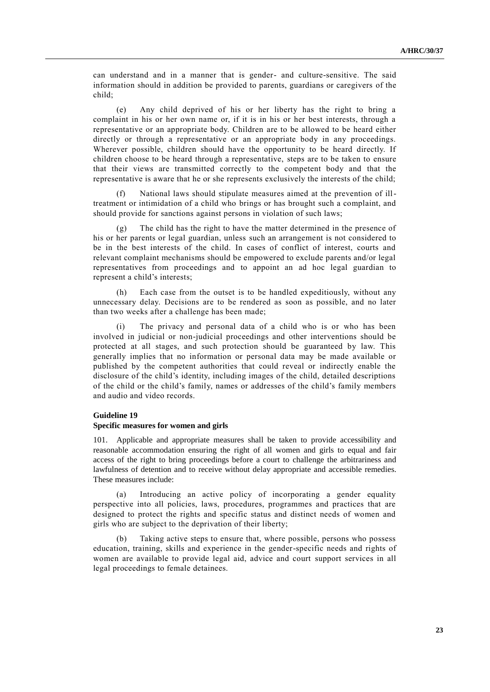can understand and in a manner that is gender- and culture-sensitive. The said information should in addition be provided to parents, guardians or caregivers of the child;

(e) Any child deprived of his or her liberty has the right to bring a complaint in his or her own name or, if it is in his or her best interests, through a representative or an appropriate body. Children are to be allowed to be heard either directly or through a representative or an appropriate body in any proceedings. Wherever possible, children should have the opportunity to be heard directly. If children choose to be heard through a representative, steps are to be taken to ensure that their views are transmitted correctly to the competent body and that the representative is aware that he or she represents exclusively the interests of the child;

National laws should stipulate measures aimed at the prevention of illtreatment or intimidation of a child who brings or has brought such a complaint, and should provide for sanctions against persons in violation of such laws;

The child has the right to have the matter determined in the presence of his or her parents or legal guardian, unless such an arrangement is not considered to be in the best interests of the child. In cases of conflict of interest, courts and relevant complaint mechanisms should be empowered to exclude parents and/or legal representatives from proceedings and to appoint an ad hoc legal guardian to represent a child's interests;

(h) Each case from the outset is to be handled expeditiously, without any unnecessary delay. Decisions are to be rendered as soon as possible, and no later than two weeks after a challenge has been made;

(i) The privacy and personal data of a child who is or who has been involved in judicial or non-judicial proceedings and other interventions should be protected at all stages, and such protection should be guaranteed by law. This generally implies that no information or personal data may be made available or published by the competent authorities that could reveal or indirectly enable the disclosure of the child's identity, including images of the child, detailed descriptions of the child or the child's family, names or addresses of the child's family members and audio and video records.

### **Guideline 19**

#### **Specific measures for women and girls**

101. Applicable and appropriate measures shall be taken to provide accessibility and reasonable accommodation ensuring the right of all women and girls to equal and fair access of the right to bring proceedings before a court to challenge the arbitrariness and lawfulness of detention and to receive without delay appropriate and accessible remedies. These measures include:

(a) Introducing an active policy of incorporating a gender equality perspective into all policies, laws, procedures, programmes and practices that are designed to protect the rights and specific status and distinct needs of women and girls who are subject to the deprivation of their liberty;

(b) Taking active steps to ensure that, where possible, persons who possess education, training, skills and experience in the gender-specific needs and rights of women are available to provide legal aid, advice and court support services in all legal proceedings to female detainees.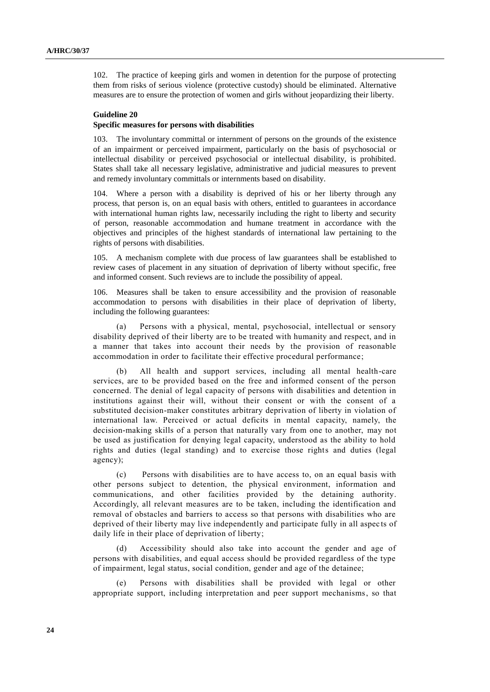102. The practice of keeping girls and women in detention for the purpose of protecting them from risks of serious violence (protective custody) should be eliminated. Alternative measures are to ensure the protection of women and girls without jeopardizing their liberty.

#### **Guideline 20**

#### **Specific measures for persons with disabilities**

103. The involuntary committal or internment of persons on the grounds of the existence of an impairment or perceived impairment, particularly on the basis of psychosocial or intellectual disability or perceived psychosocial or intellectual disability, is prohibited. States shall take all necessary legislative, administrative and judicial measures to prevent and remedy involuntary committals or internments based on disability.

104. Where a person with a disability is deprived of his or her liberty through any process, that person is, on an equal basis with others, entitled to guarantees in accordance with international human rights law, necessarily including the right to liberty and security of person, reasonable accommodation and humane treatment in accordance with the objectives and principles of the highest standards of international law pertaining to the rights of persons with disabilities.

105. A mechanism complete with due process of law guarantees shall be established to review cases of placement in any situation of deprivation of liberty without specific, free and informed consent. Such reviews are to include the possibility of appeal.

106. Measures shall be taken to ensure accessibility and the provision of reasonable accommodation to persons with disabilities in their place of deprivation of liberty, including the following guarantees:

(a) Persons with a physical, mental, psychosocial, intellectual or sensory disability deprived of their liberty are to be treated with humanity and respect, and in a manner that takes into account their needs by the provision of reasonable accommodation in order to facilitate their effective procedural performance;

(b) All health and support services, including all mental health-care services, are to be provided based on the free and informed consent of the person concerned. The denial of legal capacity of persons with disabilities and detention in institutions against their will, without their consent or with the consent of a substituted decision-maker constitutes arbitrary deprivation of liberty in violation of international law. Perceived or actual deficits in mental capacity, namely, the decision-making skills of a person that naturally vary from one to another, may not be used as justification for denying legal capacity, understood as the ability to hold rights and duties (legal standing) and to exercise those rights and duties (legal agency);

(c) Persons with disabilities are to have access to, on an equal basis with other persons subject to detention, the physical environment, information and communications, and other facilities provided by the detaining authority. Accordingly, all relevant measures are to be taken, including the identification and removal of obstacles and barriers to access so that persons with disabilities who are deprived of their liberty may live independently and participate fully in all aspec ts of daily life in their place of deprivation of liberty;

(d) Accessibility should also take into account the gender and age of persons with disabilities, and equal access should be provided regardless of the type of impairment, legal status, social condition, gender and age of the detainee;

Persons with disabilities shall be provided with legal or other appropriate support, including interpretation and peer support mechanisms, so that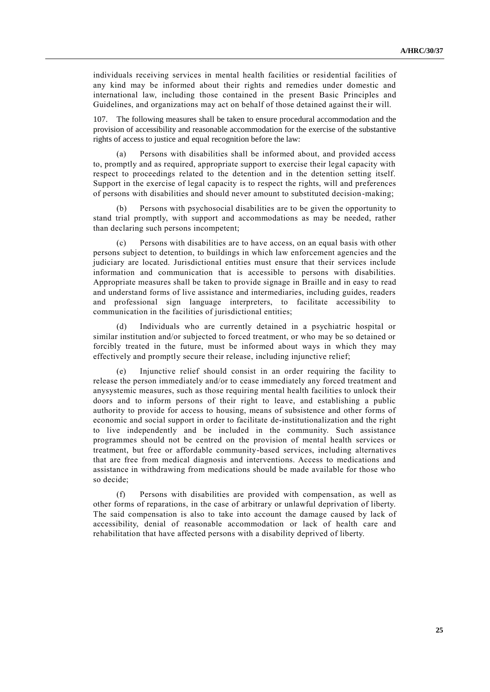individuals receiving services in mental health facilities or residential facilities of any kind may be informed about their rights and remedies under domestic and international law, including those contained in the present Basic Principles and Guidelines, and organizations may act on behalf of those detained against their will.

107. The following measures shall be taken to ensure procedural accommodation and the provision of accessibility and reasonable accommodation for the exercise of the substantive rights of access to justice and equal recognition before the law:

(a) Persons with disabilities shall be informed about, and provided access to, promptly and as required, appropriate support to exercise their legal capacity with respect to proceedings related to the detention and in the detention setting itself. Support in the exercise of legal capacity is to respect the rights, will and preferences of persons with disabilities and should never amount to substituted decision-making;

(b) Persons with psychosocial disabilities are to be given the opportunity to stand trial promptly, with support and accommodations as may be needed, rather than declaring such persons incompetent;

(c) Persons with disabilities are to have access, on an equal basis with other persons subject to detention, to buildings in which law enforcement agencies and the judiciary are located. Jurisdictional entities must ensure that their services include information and communication that is accessible to persons with disabilities. Appropriate measures shall be taken to provide signage in Braille and in easy to read and understand forms of live assistance and intermediaries, including guides, readers and professional sign language interpreters, to facilitate accessibility to communication in the facilities of jurisdictional entities;

(d) Individuals who are currently detained in a psychiatric hospital or similar institution and/or subjected to forced treatment, or who may be so detained or forcibly treated in the future, must be informed about ways in which they may effectively and promptly secure their release, including injunctive relief;

Injunctive relief should consist in an order requiring the facility to release the person immediately and/or to cease immediately any forced treatment and anysystemic measures, such as those requiring mental health facilities to unlock their doors and to inform persons of their right to leave, and establishing a public authority to provide for access to housing, means of subsistence and other forms of economic and social support in order to facilitate de-institutionalization and the right to live independently and be included in the community. Such assistance programmes should not be centred on the provision of mental health services or treatment, but free or affordable community-based services, including alternatives that are free from medical diagnosis and interventions. Access to medications and assistance in withdrawing from medications should be made available for those who so decide;

(f) Persons with disabilities are provided with compensation, as well as other forms of reparations, in the case of arbitrary or unlawful deprivation of liberty. The said compensation is also to take into account the damage caused by lack of accessibility, denial of reasonable accommodation or lack of health care and rehabilitation that have affected persons with a disability deprived of liberty.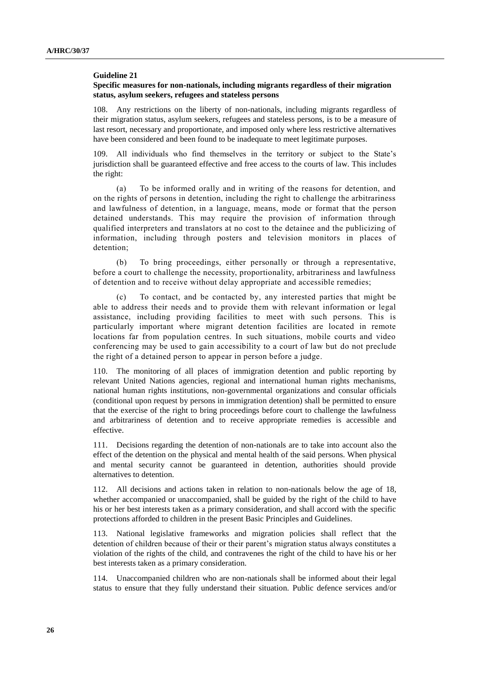#### **Guideline 21**

### **Specific measures for non-nationals, including migrants regardless of their migration status, asylum seekers, refugees and stateless persons**

108. Any restrictions on the liberty of non-nationals, including migrants regardless of their migration status, asylum seekers, refugees and stateless persons, is to be a measure of last resort, necessary and proportionate, and imposed only where less restrictive alternatives have been considered and been found to be inadequate to meet legitimate purposes.

109. All individuals who find themselves in the territory or subject to the State's jurisdiction shall be guaranteed effective and free access to the courts of law. This includes the right:

(a) To be informed orally and in writing of the reasons for detention, and on the rights of persons in detention, including the right to challenge the arbitrariness and lawfulness of detention, in a language, means, mode or format that the person detained understands. This may require the provision of information through qualified interpreters and translators at no cost to the detainee and the publicizing of information, including through posters and television monitors in places of detention;

(b) To bring proceedings, either personally or through a representative, before a court to challenge the necessity, proportionality, arbitrariness and lawfulness of detention and to receive without delay appropriate and accessible remedies;

(c) To contact, and be contacted by, any interested parties that might be able to address their needs and to provide them with relevant information or legal assistance, including providing facilities to meet with such persons. This is particularly important where migrant detention facilities are located in remote locations far from population centres. In such situations, mobile courts and video conferencing may be used to gain accessibility to a court of law but do not preclude the right of a detained person to appear in person before a judge.

110. The monitoring of all places of immigration detention and public reporting by relevant United Nations agencies, regional and international human rights mechanisms, national human rights institutions, non-governmental organizations and consular officials (conditional upon request by persons in immigration detention) shall be permitted to ensure that the exercise of the right to bring proceedings before court to challenge the lawfulness and arbitrariness of detention and to receive appropriate remedies is accessible and effective.

111. Decisions regarding the detention of non-nationals are to take into account also the effect of the detention on the physical and mental health of the said persons. When physical and mental security cannot be guaranteed in detention, authorities should provide alternatives to detention.

112. All decisions and actions taken in relation to non-nationals below the age of 18, whether accompanied or unaccompanied, shall be guided by the right of the child to have his or her best interests taken as a primary consideration, and shall accord with the specific protections afforded to children in the present Basic Principles and Guidelines.

113. National legislative frameworks and migration policies shall reflect that the detention of children because of their or their parent's migration status always constitutes a violation of the rights of the child, and contravenes the right of the child to have his or her best interests taken as a primary consideration.

114. Unaccompanied children who are non-nationals shall be informed about their legal status to ensure that they fully understand their situation. Public defence services and/or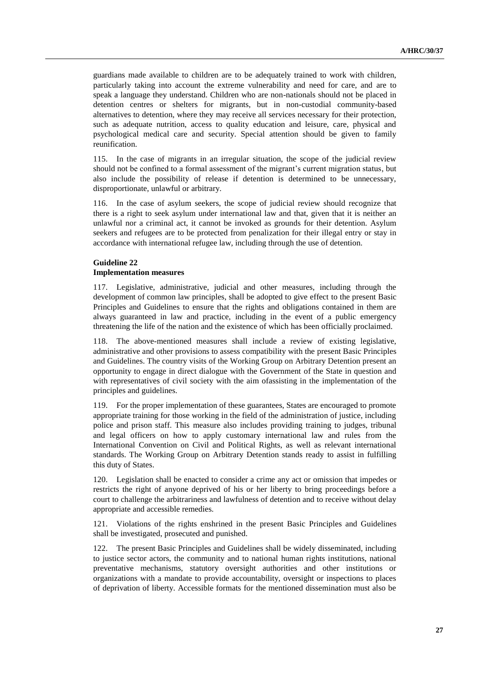guardians made available to children are to be adequately trained to work with children, particularly taking into account the extreme vulnerability and need for care, and are to speak a language they understand. Children who are non-nationals should not be placed in detention centres or shelters for migrants, but in non-custodial community-based alternatives to detention, where they may receive all services necessary for their protection, such as adequate nutrition, access to quality education and leisure, care, physical and psychological medical care and security. Special attention should be given to family reunification.

115. In the case of migrants in an irregular situation, the scope of the judicial review should not be confined to a formal assessment of the migrant's current migration status, but also include the possibility of release if detention is determined to be unnecessary, disproportionate, unlawful or arbitrary.

116. In the case of asylum seekers, the scope of judicial review should recognize that there is a right to seek asylum under international law and that, given that it is neither an unlawful nor a criminal act, it cannot be invoked as grounds for their detention. Asylum seekers and refugees are to be protected from penalization for their illegal entry or stay in accordance with international refugee law, including through the use of detention.

### **Guideline 22 Implementation measures**

117. Legislative, administrative, judicial and other measures, including through the development of common law principles, shall be adopted to give effect to the present Basic Principles and Guidelines to ensure that the rights and obligations contained in them are always guaranteed in law and practice, including in the event of a public emergency threatening the life of the nation and the existence of which has been officially proclaimed.

118. The above-mentioned measures shall include a review of existing legislative, administrative and other provisions to assess compatibility with the present Basic Principles and Guidelines. The country visits of the Working Group on Arbitrary Detention present an opportunity to engage in direct dialogue with the Government of the State in question and with representatives of civil society with the aim ofassisting in the implementation of the principles and guidelines.

119. For the proper implementation of these guarantees, States are encouraged to promote appropriate training for those working in the field of the administration of justice, including police and prison staff. This measure also includes providing training to judges, tribunal and legal officers on how to apply customary international law and rules from the International Convention on Civil and Political Rights, as well as relevant international standards. The Working Group on Arbitrary Detention stands ready to assist in fulfilling this duty of States.

120. Legislation shall be enacted to consider a crime any act or omission that impedes or restricts the right of anyone deprived of his or her liberty to bring proceedings before a court to challenge the arbitrariness and lawfulness of detention and to receive without delay appropriate and accessible remedies.

121. Violations of the rights enshrined in the present Basic Principles and Guidelines shall be investigated, prosecuted and punished.

122. The present Basic Principles and Guidelines shall be widely disseminated, including to justice sector actors, the community and to national human rights institutions, national preventative mechanisms, statutory oversight authorities and other institutions or organizations with a mandate to provide accountability, oversight or inspections to places of deprivation of liberty. Accessible formats for the mentioned dissemination must also be